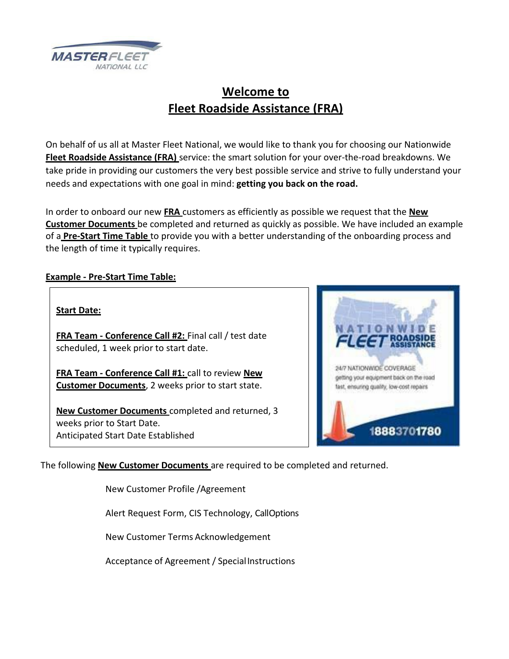

# **Welcome to Fleet Roadside Assistance (FRA)**

On behalf of us all at Master Fleet National, we would like to thank you for choosing our Nationwide **Fleet Roadside Assistance (FRA)** service: the smart solution for your over‐the‐road breakdowns. We take pride in providing our customers the very best possible service and strive to fully understand your needs and expectations with one goal in mind: **getting you back on the road.**

In order to onboard our new **FRA** customers as efficiently as possible we request that the **New Customer Documents** be completed and returned as quickly as possible. We have included an example of a **Pre‐Start Time Table** to provide you with a better understanding of the onboarding process and the length of time it typically requires.

### **Example ‐ Pre‐Start Time Table:**

### **Start Date:**

**FRA Team ‐ Conference Call #2:** Final call / test date scheduled, 1 week prior to start date.

**FRA Team ‐ Conference Call #1:** call to review **New Customer Documents**, 2 weeks prior to start state.

**New Customer Documents** completed and returned, 3 weeks prior to Start Date. Anticipated Start Date Established



The following **New Customer Documents** are required to be completed and returned.

New Customer Profile /Agreement

Alert Request Form, CIS Technology, CallOptions

New Customer Terms Acknowledgement

Acceptance of Agreement / SpecialInstructions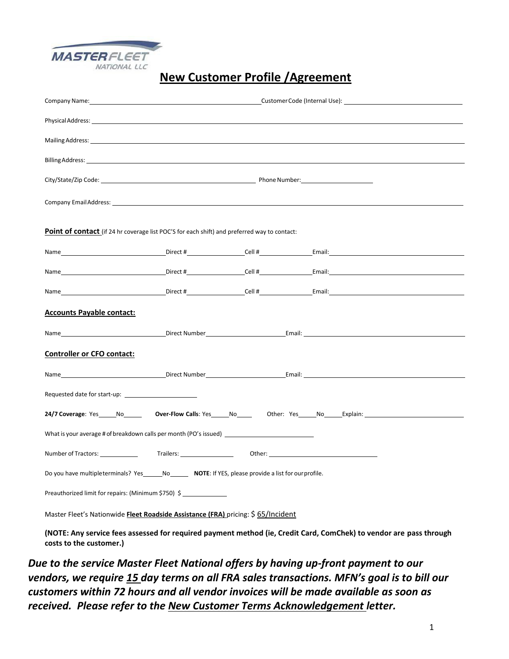

## **New Customer Profile /Agreement**

|                                                                                                                                                                                                                                |  | Company Name: Name and Society And Society And Society And Society And Society And Society And Society And Society And Society And Society And Society And Society And Society And Society And Society And Society And Society |
|--------------------------------------------------------------------------------------------------------------------------------------------------------------------------------------------------------------------------------|--|--------------------------------------------------------------------------------------------------------------------------------------------------------------------------------------------------------------------------------|
| Physical Address: the control of the control of the control of the control of the control of the control of the control of the control of the control of the control of the control of the control of the control of the contr |  |                                                                                                                                                                                                                                |
|                                                                                                                                                                                                                                |  |                                                                                                                                                                                                                                |
|                                                                                                                                                                                                                                |  |                                                                                                                                                                                                                                |
|                                                                                                                                                                                                                                |  |                                                                                                                                                                                                                                |
|                                                                                                                                                                                                                                |  |                                                                                                                                                                                                                                |
| <b>Point of contact</b> (if 24 hr coverage list POC'S for each shift) and preferred way to contact:                                                                                                                            |  |                                                                                                                                                                                                                                |
|                                                                                                                                                                                                                                |  | Name and the set of the Direct # Cell # Email: Email:                                                                                                                                                                          |
|                                                                                                                                                                                                                                |  |                                                                                                                                                                                                                                |
|                                                                                                                                                                                                                                |  |                                                                                                                                                                                                                                |
| <b>Accounts Payable contact:</b>                                                                                                                                                                                               |  |                                                                                                                                                                                                                                |
|                                                                                                                                                                                                                                |  |                                                                                                                                                                                                                                |
| <b>Controller or CFO contact:</b>                                                                                                                                                                                              |  |                                                                                                                                                                                                                                |
|                                                                                                                                                                                                                                |  |                                                                                                                                                                                                                                |
|                                                                                                                                                                                                                                |  |                                                                                                                                                                                                                                |
|                                                                                                                                                                                                                                |  | 24/7 Coverage: Yes _____No__________ Over-Flow Calls: Yes _____No__________Other: Yes ____No______Explain: ____________________________                                                                                        |
| What is your average # of breakdown calls per month (PO's issued) __________________________________                                                                                                                           |  |                                                                                                                                                                                                                                |
|                                                                                                                                                                                                                                |  |                                                                                                                                                                                                                                |
| Do you have multipleterminals? Yes _______ No________ NOTE: If YES, please provide a list for our profile.                                                                                                                     |  |                                                                                                                                                                                                                                |
| Preauthorized limit for repairs: (Minimum \$750) \$                                                                                                                                                                            |  |                                                                                                                                                                                                                                |
| Master Fleet's Nationwide Fleet Roadside Assistance (FRA) pricing: \$ 65/Incident                                                                                                                                              |  |                                                                                                                                                                                                                                |

**(NOTE: Any service fees assessed for required payment method (ie, Credit Card, ComChek) to vendor are pass through costs to the customer.)**

*Due to the service Master Fleet National offers by having up‐front payment to our vendors, we require 15 day terms on all FRA sales transactions. MFN's goal is to bill our customers within 72 hours and all vendor invoices will be made available as soon as received. Please refer to the New Customer Terms Acknowledgement letter.*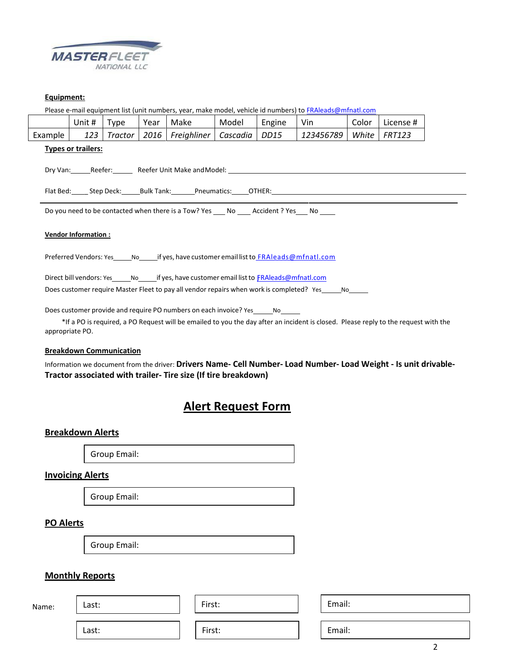

#### **Equipment:**

Please e-mail equipment list (unit numbers, year, make model, vehicle id numbers) to **[FRAleads@mfnatl.com](mailto:FRAleads@mfnatl.com)** 

|         | Unit # | Type    | Year | Make                          | Model | Engine | Vin       | Color | l License # |
|---------|--------|---------|------|-------------------------------|-------|--------|-----------|-------|-------------|
| Example |        | Tractor | 2016 | Freighliner   Cascadia   DD15 |       |        | 123456789 | White | FRT123      |

#### **Types or trailers:**

Dry Van: Reefer: Reefer: Reefer Unit Make and Model: Research Communication of the Reefer Unit Make and Model:

Flat Bed: \_ Step Deck: Bulk Tank: Pneumatics: OTHER:

Do you need to be contacted when there is a Tow? Yes \_\_\_\_ No \_\_\_\_\_ Accident ? Yes \_\_\_\_ No \_\_\_\_\_

#### **Vendor Information :**

Preferred Vendors: Yes \_\_\_\_\_No \_\_\_\_\_\_ if yes, have customer email list to **[FRAleads@mfnatl.com](mailto:FRAleads@mfnatl.com)** 

Direct bill vendors: Yes \_\_\_\_\_\_ No \_\_\_\_\_\_ if yes, have customer email list to FRAleads@mfnatl.com

Does customer require Master Fleet to pay all vendor repairs when work is completed? Yes No

Does customer provide and require PO numbers on each invoice? Yes\_\_\_\_\_\_\_ No\_\_

 \*If a PO is required, a PO Request will be emailed to you the day after an incident is closed. Please reply to the request with the appropriate PO.

#### **Breakdown Communication**

Information we document from the driver: **Drivers Name‐ Cell Number‐ Load Number‐ Load Weight ‐ Is unit drivable‐ Tractor associated with trailer‐ Tire size (If tire breakdown)**

### **Alert Request Form**

#### **Breakdown Alerts**

Group Email:

#### **Invoicing Alerts**

Group Email:

#### **PO Alerts**

 $\mathsf{N}$ 

Group Email:

#### **Monthly Reports**

| ame: | Last: | First: |
|------|-------|--------|
|      |       |        |
|      | Last: | First: |

Email:

Email:

2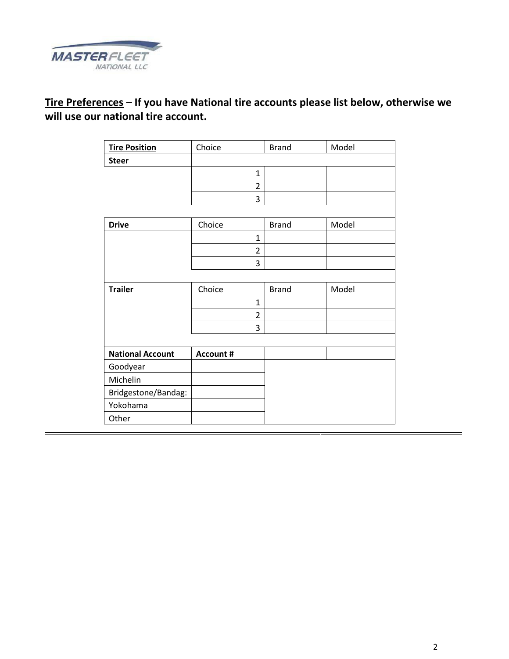

## **Tire Preferences – If you have National tire accounts please list below, otherwise we will use our national tire account.**

| <b>Tire Position</b>    | Choice           | <b>Brand</b> | Model |
|-------------------------|------------------|--------------|-------|
| <b>Steer</b>            |                  |              |       |
|                         | $\mathbf{1}$     |              |       |
|                         | $\overline{2}$   |              |       |
|                         | 3                |              |       |
|                         |                  |              |       |
| <b>Drive</b>            | Choice           | <b>Brand</b> | Model |
|                         | $\mathbf{1}$     |              |       |
|                         | $\overline{2}$   |              |       |
|                         | 3                |              |       |
|                         |                  |              |       |
| <b>Trailer</b>          | Choice           | <b>Brand</b> | Model |
|                         | 1                |              |       |
|                         | $\overline{2}$   |              |       |
|                         | 3                |              |       |
|                         |                  |              |       |
| <b>National Account</b> | <b>Account #</b> |              |       |
| Goodyear                |                  |              |       |
| Michelin                |                  |              |       |
| Bridgestone/Bandag:     |                  |              |       |
| Yokohama                |                  |              |       |
| Other                   |                  |              |       |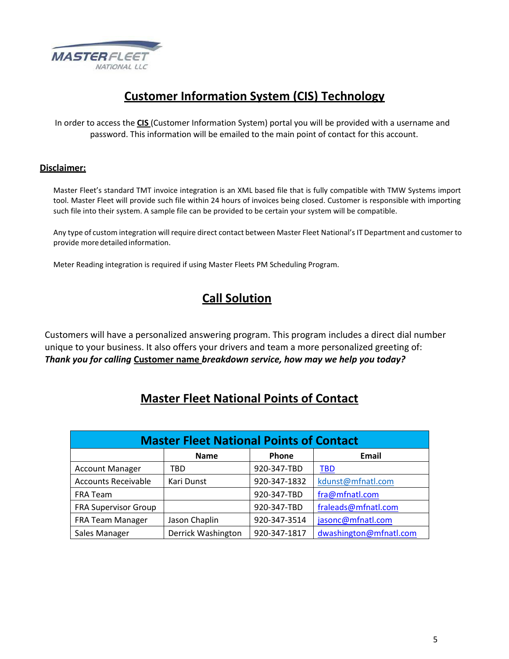

# **Customer Information System (CIS) Technology**

In order to access the **CIS** (Customer Information System) portal you will be provided with a username and password. This information will be emailed to the main point of contact for this account.

### **Disclaimer:**

Master Fleet's standard TMT invoice integration is an XML based file that is fully compatible with TMW Systems import tool. Master Fleet will provide such file within 24 hours of invoices being closed. Customer is responsible with importing such file into their system. A sample file can be provided to be certain your system will be compatible.

Any type of custom integration will require direct contact between Master Fleet National's IT Department and customer to provide more detailed information.

Meter Reading integration is required if using Master Fleets PM Scheduling Program.

## **Call Solution**

Customers will have a personalized answering program. This program includes a direct dial number unique to your business. It also offers your drivers and team a more personalized greeting of: *Thank you for calling* **Customer name** *breakdown service, how may we help you today?*

### **Master Fleet National Points of Contact**

| <b>Master Fleet National Points of Contact</b> |                    |              |                        |  |
|------------------------------------------------|--------------------|--------------|------------------------|--|
|                                                | <b>Name</b>        | Phone        | Email                  |  |
| <b>Account Manager</b>                         | TBD                | 920-347-TBD  | <u>TBD</u>             |  |
| <b>Accounts Receivable</b>                     | Kari Dunst         | 920-347-1832 | kdunst@mfnatl.com      |  |
| FRA Team                                       |                    | 920-347-TBD  | fra@mfnatl.com         |  |
| <b>FRA Supervisor Group</b>                    |                    | 920-347-TBD  | fraleads@mfnatl.com    |  |
| FRA Team Manager                               | Jason Chaplin      | 920-347-3514 | jasonc@mfnatl.com      |  |
| Sales Manager                                  | Derrick Washington | 920-347-1817 | dwashington@mfnatl.com |  |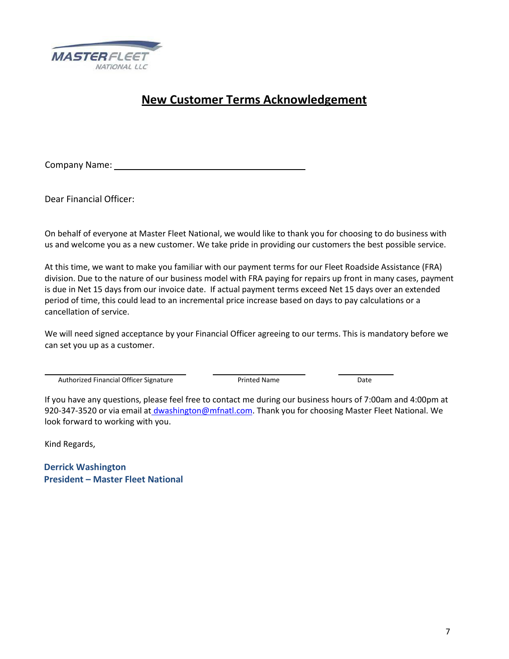

## **New Customer Terms Acknowledgement**

Company Name:

Dear Financial Officer:

On behalf of everyone at Master Fleet National, we would like to thank you for choosing to do business with us and welcome you as a new customer. We take pride in providing our customers the best possible service.

At this time, we want to make you familiar with our payment terms for our Fleet Roadside Assistance (FRA) division. Due to the nature of our business model with FRA paying for repairs up front in many cases, payment is due in Net 15 days from our invoice date. If actual payment terms exceed Net 15 days over an extended period of time, this could lead to an incremental price increase based on days to pay calculations or a cancellation of service.

We will need signed acceptance by your Financial Officer agreeing to our terms. This is mandatory before we can set you up as a customer.

Authorized Financial Officer Signature **Printed Name** Printed Name Date

If you have any questions, please feel free to contact me during our business hours of 7:00am and 4:00pm at 920-347-3520 or via email at dwashington@mfnatl.com. Thank you for choosing Master Fleet National. We look forward to working with you.

Kind Regards,

 **Derrick Washington President – Master Fleet National**